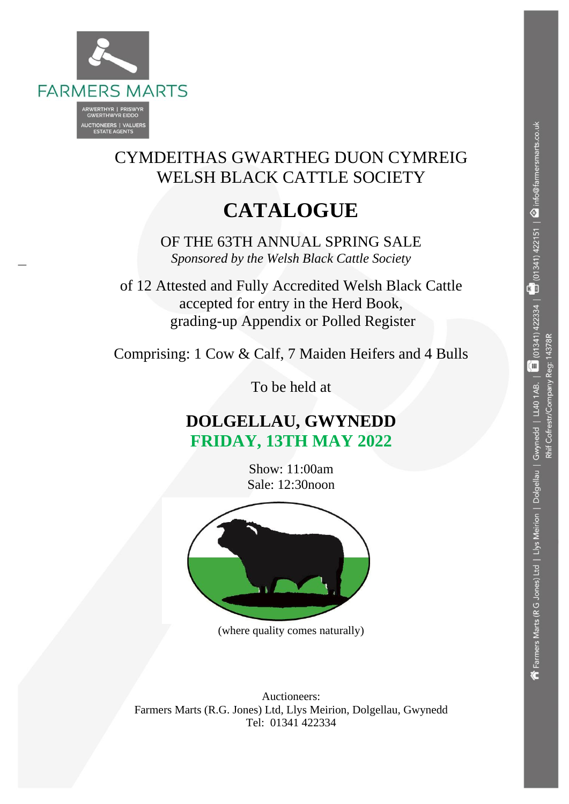

# CYMDEITHAS GWARTHEG DUON CYMREIG WELSH BLACK CATTLE SOCIETY

# **CATALOGUE**

OF THE 63TH ANNUAL SPRING SALE *Sponsored by the Welsh Black Cattle Society*

of 12 Attested and Fully Accredited Welsh Black Cattle accepted for entry in the Herd Book, grading-up Appendix or Polled Register

Comprising: 1 Cow & Calf, 7 Maiden Heifers and 4 Bulls

To be held at

# **DOLGELLAU, GWYNEDD FRIDAY, 13TH MAY 2022**

Show: 11:00am Sale: 12:30noon



(where quality comes naturally)

Auctioneers: Farmers Marts (R.G. Jones) Ltd, Llys Meirion, Dolgellau, Gwynedd Tel: 01341 422334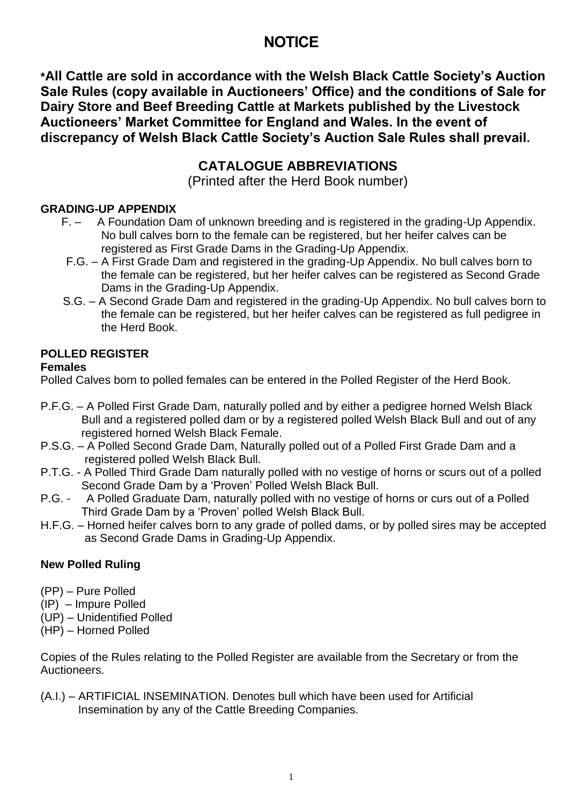# **NOTICE**

**\*All Cattle are sold in accordance with the Welsh Black Cattle Society's Auction Sale Rules (copy available in Auctioneers' Office) and the conditions of Sale for Dairy Store and Beef Breeding Cattle at Markets published by the Livestock Auctioneers' Market Committee for England and Wales. In the event of discrepancy of Welsh Black Cattle Society's Auction Sale Rules shall prevail.**

# **CATALOGUE ABBREVIATIONS**

(Printed after the Herd Book number)

### **GRADING-UP APPENDIX**

- F. A Foundation Dam of unknown breeding and is registered in the grading-Up Appendix. No bull calves born to the female can be registered, but her heifer calves can be registered as First Grade Dams in the Grading-Up Appendix.
- F.G. A First Grade Dam and registered in the grading-Up Appendix. No bull calves born to the female can be registered, but her heifer calves can be registered as Second Grade Dams in the Grading-Up Appendix.
- S.G. A Second Grade Dam and registered in the grading-Up Appendix. No bull calves born to the female can be registered, but her heifer calves can be registered as full pedigree in the Herd Book.

## **POLLED REGISTER**

### **Females**

Polled Calves born to polled females can be entered in the Polled Register of the Herd Book.

- P.F.G. A Polled First Grade Dam, naturally polled and by either a pedigree horned Welsh Black Bull and a registered polled dam or by a registered polled Welsh Black Bull and out of any registered horned Welsh Black Female.
- P.S.G. A Polled Second Grade Dam, Naturally polled out of a Polled First Grade Dam and a registered polled Welsh Black Bull.
- P.T.G. A Polled Third Grade Dam naturally polled with no vestige of horns or scurs out of a polled Second Grade Dam by a 'Proven' Polled Welsh Black Bull.
- P.G. A Polled Graduate Dam, naturally polled with no vestige of horns or curs out of a Polled Third Grade Dam by a 'Proven' polled Welsh Black Bull.
- H.F.G. Horned heifer calves born to any grade of polled dams, or by polled sires may be accepted as Second Grade Dams in Grading-Up Appendix.

### **New Polled Ruling**

- (PP) Pure Polled
- (IP) Impure Polled
- (UP) Unidentified Polled
- (HP) Horned Polled

Copies of the Rules relating to the Polled Register are available from the Secretary or from the Auctioneers.

(A.I.) – ARTIFICIAL INSEMINATION. Denotes bull which have been used for Artificial Insemination by any of the Cattle Breeding Companies.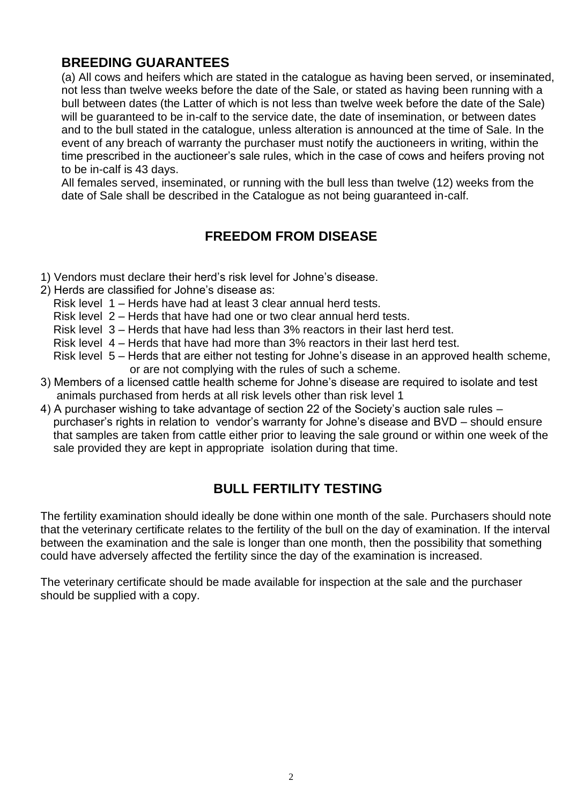## **BREEDING GUARANTEES**

(a) All cows and heifers which are stated in the catalogue as having been served, or inseminated, not less than twelve weeks before the date of the Sale, or stated as having been running with a bull between dates (the Latter of which is not less than twelve week before the date of the Sale) will be guaranteed to be in-calf to the service date, the date of insemination, or between dates and to the bull stated in the catalogue, unless alteration is announced at the time of Sale. In the event of any breach of warranty the purchaser must notify the auctioneers in writing, within the time prescribed in the auctioneer's sale rules, which in the case of cows and heifers proving not to be in-calf is 43 days.

All females served, inseminated, or running with the bull less than twelve (12) weeks from the date of Sale shall be described in the Catalogue as not being guaranteed in-calf.

## **FREEDOM FROM DISEASE**

- 1) Vendors must declare their herd's risk level for Johne's disease.
- 2) Herds are classified for Johne's disease as:
	- Risk level 1 Herds have had at least 3 clear annual herd tests.
	- Risk level 2 Herds that have had one or two clear annual herd tests.
	- Risk level 3 Herds that have had less than 3% reactors in their last herd test.
	- Risk level 4 Herds that have had more than 3% reactors in their last herd test.
	- Risk level 5 Herds that are either not testing for Johne's disease in an approved health scheme, or are not complying with the rules of such a scheme.
- 3) Members of a licensed cattle health scheme for Johne's disease are required to isolate and test animals purchased from herds at all risk levels other than risk level 1
- 4) A purchaser wishing to take advantage of section 22 of the Society's auction sale rules purchaser's rights in relation to vendor's warranty for Johne's disease and BVD – should ensure that samples are taken from cattle either prior to leaving the sale ground or within one week of the sale provided they are kept in appropriate isolation during that time.

## **BULL FERTILITY TESTING**

The fertility examination should ideally be done within one month of the sale. Purchasers should note that the veterinary certificate relates to the fertility of the bull on the day of examination. If the interval between the examination and the sale is longer than one month, then the possibility that something could have adversely affected the fertility since the day of the examination is increased.

The veterinary certificate should be made available for inspection at the sale and the purchaser should be supplied with a copy.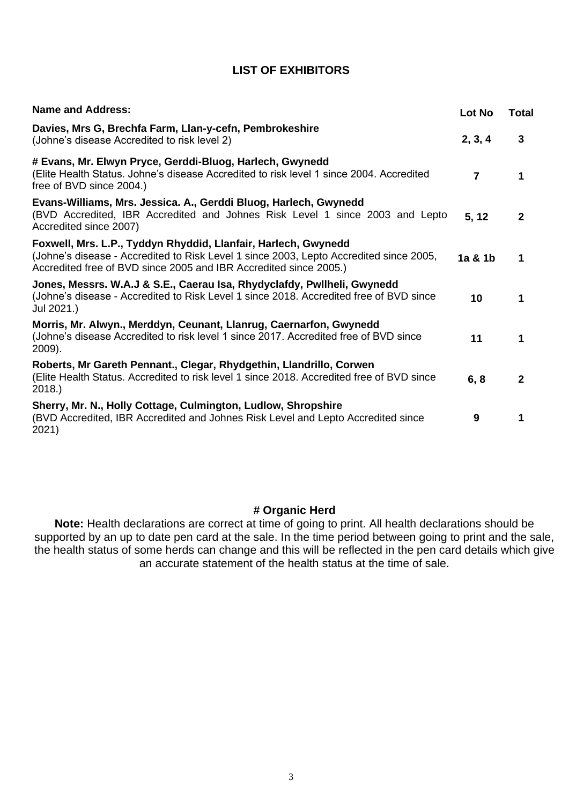### **LIST OF EXHIBITORS**

| <b>Name and Address:</b>                                                                                                                                                                                                      | Lot No         | <b>Total</b> |
|-------------------------------------------------------------------------------------------------------------------------------------------------------------------------------------------------------------------------------|----------------|--------------|
| Davies, Mrs G, Brechfa Farm, Llan-y-cefn, Pembrokeshire<br>(Johne's disease Accredited to risk level 2)                                                                                                                       | 2, 3, 4        | 3            |
| # Evans, Mr. Elwyn Pryce, Gerddi-Bluog, Harlech, Gwynedd<br>(Elite Health Status. Johne's disease Accredited to risk level 1 since 2004. Accredited<br>free of BVD since 2004.)                                               | $\overline{7}$ | 1            |
| Evans-Williams, Mrs. Jessica. A., Gerddi Bluog, Harlech, Gwynedd<br>(BVD Accredited, IBR Accredited and Johnes Risk Level 1 since 2003 and Lepto<br>Accredited since 2007)                                                    | 5, 12          | $\mathbf{2}$ |
| Foxwell, Mrs. L.P., Tyddyn Rhyddid, Llanfair, Harlech, Gwynedd<br>(Johne's disease - Accredited to Risk Level 1 since 2003, Lepto Accredited since 2005,<br>Accredited free of BVD since 2005 and IBR Accredited since 2005.) | 1a & 1b        | 1            |
| Jones, Messrs. W.A.J & S.E., Caerau Isa, Rhydyclafdy, Pwllheli, Gwynedd<br>(Johne's disease - Accredited to Risk Level 1 since 2018. Accredited free of BVD since<br>Jul 2021.)                                               | 10             | 1            |
| Morris, Mr. Alwyn., Merddyn, Ceunant, Llanrug, Caernarfon, Gwynedd<br>(Johne's disease Accredited to risk level 1 since 2017. Accredited free of BVD since<br>2009).                                                          | 11             | 1            |
| Roberts, Mr Gareth Pennant., Clegar, Rhydgethin, Llandrillo, Corwen<br>(Elite Health Status. Accredited to risk level 1 since 2018. Accredited free of BVD since<br>2018.                                                     | 6, 8           | $\mathbf{2}$ |
| Sherry, Mr. N., Holly Cottage, Culmington, Ludlow, Shropshire<br>(BVD Accredited, IBR Accredited and Johnes Risk Level and Lepto Accredited since<br>2021)                                                                    | 9              | 1            |

### **# Organic Herd**

**Note:** Health declarations are correct at time of going to print. All health declarations should be supported by an up to date pen card at the sale. In the time period between going to print and the sale, the health status of some herds can change and this will be reflected in the pen card details which give an accurate statement of the health status at the time of sale.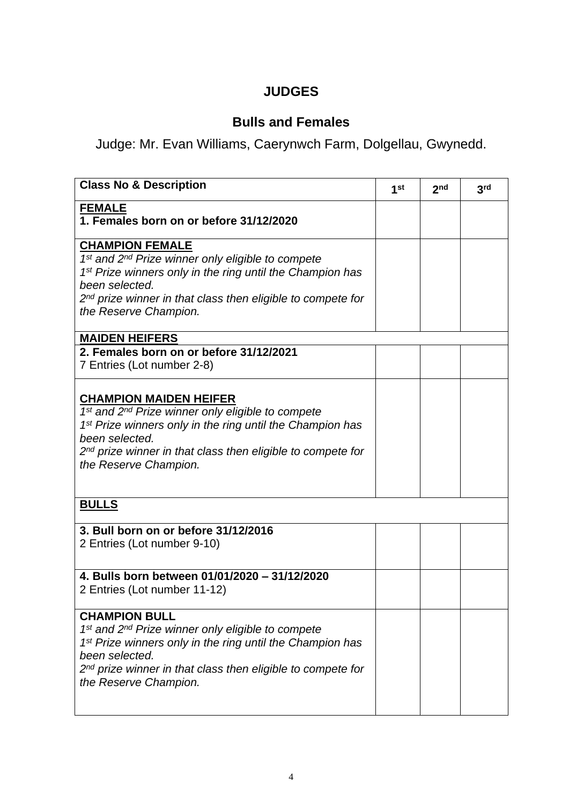# **JUDGES**

# **Bulls and Females**

Judge: Mr. Evan Williams, Caerynwch Farm, Dolgellau, Gwynedd.

| <b>Class No &amp; Description</b>                                                                                                                                                                                                                                                                | 1 <sup>st</sup> | 2 <sub>nd</sub> | 3 <sub>rd</sub> |
|--------------------------------------------------------------------------------------------------------------------------------------------------------------------------------------------------------------------------------------------------------------------------------------------------|-----------------|-----------------|-----------------|
| <b>FEMALE</b><br>1. Females born on or before 31/12/2020                                                                                                                                                                                                                                         |                 |                 |                 |
| <b>CHAMPION FEMALE</b><br>1st and 2nd Prize winner only eligible to compete<br>1 <sup>st</sup> Prize winners only in the ring until the Champion has<br>been selected.<br>2 <sup>nd</sup> prize winner in that class then eligible to compete for<br>the Reserve Champion.                       |                 |                 |                 |
| <b>MAIDEN HEIFERS</b>                                                                                                                                                                                                                                                                            |                 |                 |                 |
| 2. Females born on or before 31/12/2021<br>7 Entries (Lot number 2-8)                                                                                                                                                                                                                            |                 |                 |                 |
| <b>CHAMPION MAIDEN HEIFER</b><br>1st and 2 <sup>nd</sup> Prize winner only eligible to compete<br>1 <sup>st</sup> Prize winners only in the ring until the Champion has<br>been selected.<br>2 <sup>nd</sup> prize winner in that class then eligible to compete for<br>the Reserve Champion.    |                 |                 |                 |
| <b>BULLS</b>                                                                                                                                                                                                                                                                                     |                 |                 |                 |
| 3. Bull born on or before 31/12/2016<br>2 Entries (Lot number 9-10)                                                                                                                                                                                                                              |                 |                 |                 |
| 4. Bulls born between 01/01/2020 - 31/12/2020<br>2 Entries (Lot number 11-12)                                                                                                                                                                                                                    |                 |                 |                 |
| <b>CHAMPION BULL</b><br>1 <sup>st</sup> and 2 <sup>nd</sup> Prize winner only eligible to compete<br>1 <sup>st</sup> Prize winners only in the ring until the Champion has<br>been selected.<br>2 <sup>nd</sup> prize winner in that class then eligible to compete for<br>the Reserve Champion. |                 |                 |                 |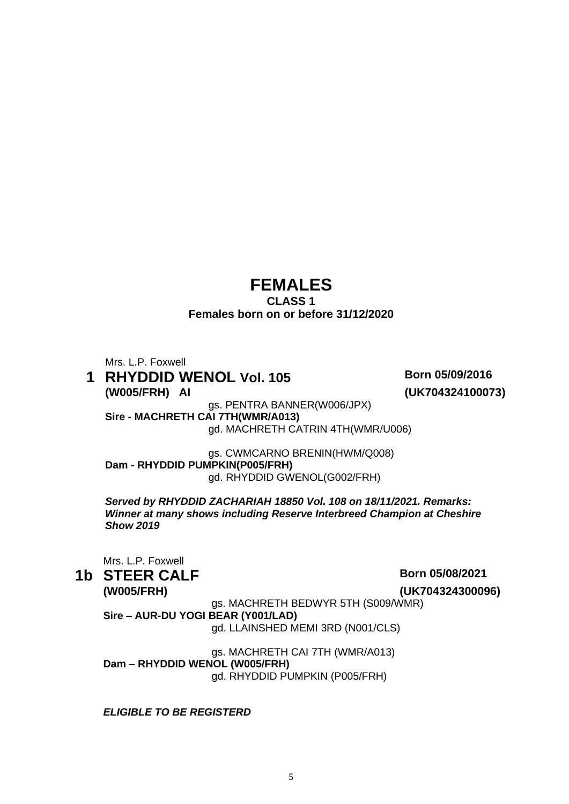# **FEMALES**

### **CLASS 1 Females born on or before 31/12/2020**

Mrs. L.P. Foxwell

### **1 RHYDDID WENOL Vol. 105 Born 05/09/2016 (W005/FRH) AI (UK704324100073)**

gs. PENTRA BANNER(W006/JPX) **Sire - MACHRETH CAI 7TH(WMR/A013)** gd. MACHRETH CATRIN 4TH(WMR/U006)

gs. CWMCARNO BRENIN(HWM/Q008) **Dam - RHYDDID PUMPKIN(P005/FRH)** gd. RHYDDID GWENOL(G002/FRH)

*Served by RHYDDID ZACHARIAH 18850 Vol. 108 on 18/11/2021. Remarks: Winner at many shows including Reserve Interbreed Champion at Cheshire Show 2019* 

Mrs. L.P. Foxwell

**1b STEER CALF Born 05/08/2021** 

**(W005/FRH) (UK704324300096)**

gs. MACHRETH BEDWYR 5TH (S009/WMR) **Sire – AUR-DU YOGI BEAR (Y001/LAD)**

gd. LLAINSHED MEMI 3RD (N001/CLS)

gs. MACHRETH CAI 7TH (WMR/A013) **Dam – RHYDDID WENOL (W005/FRH)** gd. RHYDDID PUMPKIN (P005/FRH)

*ELIGIBLE TO BE REGISTERD*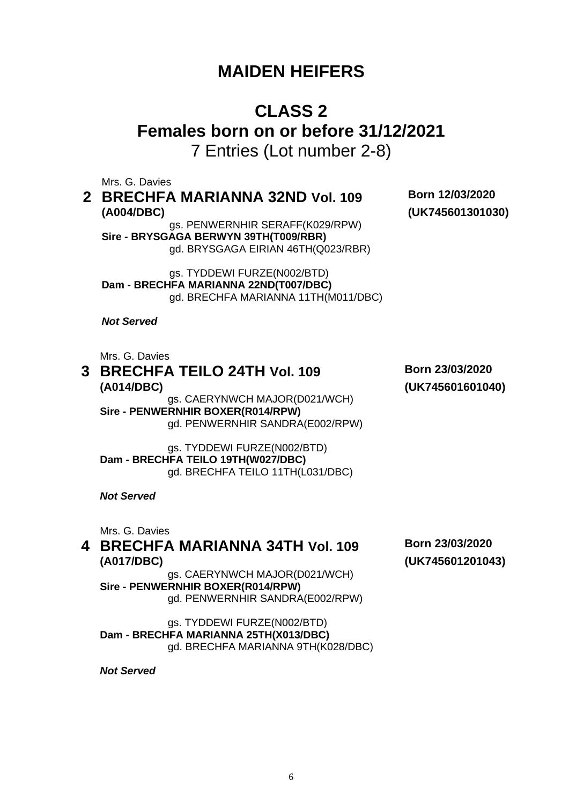# **MAIDEN HEIFERS**

# **CLASS 2 Females born on or before 31/12/2021**

7 Entries (Lot number 2-8)

Mrs. G. Davies

**2 BRECHFA MARIANNA 32ND Vol. 109 Born 12/03/2020 (A004/DBC) (UK745601301030)**

gs. PENWERNHIR SERAFF(K029/RPW) **Sire - BRYSGAGA BERWYN 39TH(T009/RBR)** gd. BRYSGAGA EIRIAN 46TH(Q023/RBR)

gs. TYDDEWI FURZE(N002/BTD) **Dam - BRECHFA MARIANNA 22ND(T007/DBC)** gd. BRECHFA MARIANNA 11TH(M011/DBC)

*Not Served* 

Mrs. G. Davies

# **3 BRECHFA TEILO 24TH Vol. 109 Born 23/03/2020 (A014/DBC) (UK745601601040)**

gs. CAERYNWCH MAJOR(D021/WCH) **Sire - PENWERNHIR BOXER(R014/RPW)** gd. PENWERNHIR SANDRA(E002/RPW)

gs. TYDDEWI FURZE(N002/BTD) **Dam - BRECHFA TEILO 19TH(W027/DBC)** gd. BRECHFA TEILO 11TH(L031/DBC)

*Not Served* 

Mrs. G. Davies

### **4 BRECHFA MARIANNA 34TH Vol. 109 Born 23/03/2020 (A017/DBC) (UK745601201043)**

gs. CAERYNWCH MAJOR(D021/WCH) **Sire - PENWERNHIR BOXER(R014/RPW)** gd. PENWERNHIR SANDRA(E002/RPW)

gs. TYDDEWI FURZE(N002/BTD) **Dam - BRECHFA MARIANNA 25TH(X013/DBC)** gd. BRECHFA MARIANNA 9TH(K028/DBC)

*Not Served*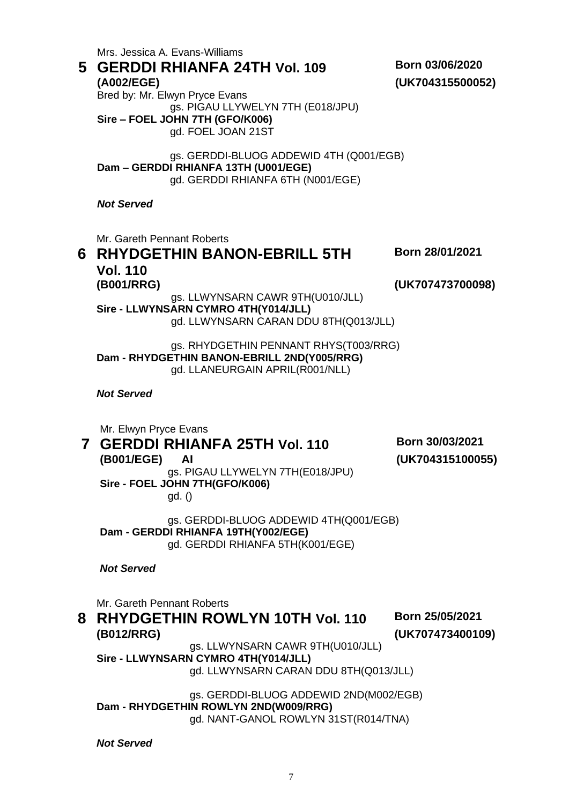Mrs. Jessica A. Evans-Williams **5 GERDDI RHIANFA 24TH Vol. 109 Born 03/06/2020 (A002/EGE)** Bred by: Mr. Elwyn Pryce Evans **(UK704315500052)** gs. PIGAU LLYWELYN 7TH (E018/JPU) **Sire – FOEL JOHN 7TH (GFO/K006)** gd. FOEL JOAN 21ST gs. GERDDI-BLUOG ADDEWID 4TH (Q001/EGB) **Dam – GERDDI RHIANFA 13TH (U001/EGE)** gd. GERDDI RHIANFA 6TH (N001/EGE) *Not Served*  Mr. Gareth Pennant Roberts **6 RHYDGETHIN BANON-EBRILL 5TH Vol. 110 Born 28/01/2021 (B001/RRG) (UK707473700098)** gs. LLWYNSARN CAWR 9TH(U010/JLL) **Sire - LLWYNSARN CYMRO 4TH(Y014/JLL)** gd. LLWYNSARN CARAN DDU 8TH(Q013/JLL) gs. RHYDGETHIN PENNANT RHYS(T003/RRG) **Dam - RHYDGETHIN BANON-EBRILL 2ND(Y005/RRG)** gd. LLANEURGAIN APRIL(R001/NLL) *Not Served* Mr. Elwyn Pryce Evans **7 GERDDI RHIANFA 25TH Vol. 110 Born 30/03/2021 (B001/EGE) AI (UK704315100055)** gs. PIGAU LLYWELYN 7TH(E018/JPU) **Sire - FOEL JOHN 7TH(GFO/K006)** gd. () gs. GERDDI-BLUOG ADDEWID 4TH(Q001/EGB) **Dam - GERDDI RHIANFA 19TH(Y002/EGE)** gd. GERDDI RHIANFA 5TH(K001/EGE) *Not Served* Mr. Gareth Pennant Roberts **8 RHYDGETHIN ROWLYN 10TH Vol. 110 Born 25/05/2021 (B012/RRG) (UK707473400109)** gs. LLWYNSARN CAWR 9TH(U010/JLL) **Sire - LLWYNSARN CYMRO 4TH(Y014/JLL)** gd. LLWYNSARN CARAN DDU 8TH(Q013/JLL) gs. GERDDI-BLUOG ADDEWID 2ND(M002/EGB) **Dam - RHYDGETHIN ROWLYN 2ND(W009/RRG)** gd. NANT-GANOL ROWLYN 31ST(R014/TNA) *Not Served*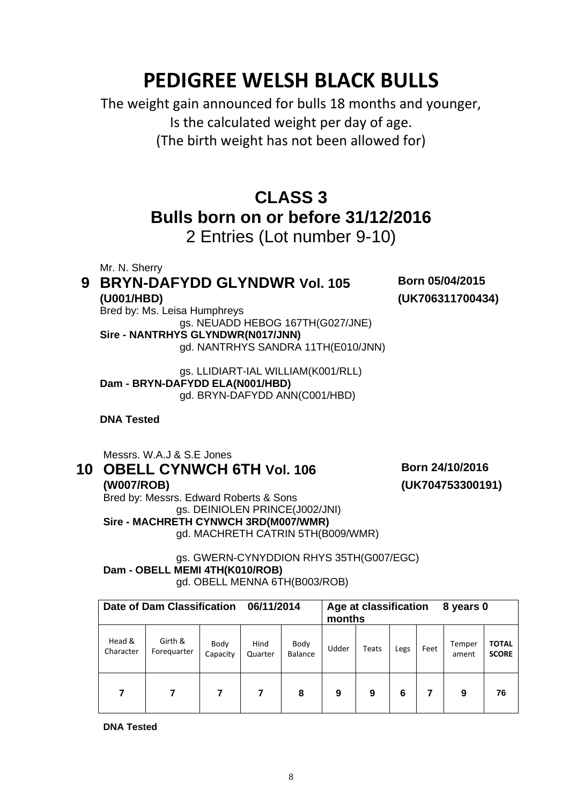# **PEDIGREE WELSH BLACK BULLS**

The weight gain announced for bulls 18 months and younger, Is the calculated weight per day of age. (The birth weight has not been allowed for)

# **CLASS 3 Bulls born on or before 31/12/2016**

2 Entries (Lot number 9-10)

Mr. N. Sherry

# **9 BRYN-DAFYDD GLYNDWR Vol. 105 Born 05/04/2015 (U001/HBD)**

**(UK706311700434)**

Bred by: Ms. Leisa Humphreys gs. NEUADD HEBOG 167TH(G027/JNE) **Sire - NANTRHYS GLYNDWR(N017/JNN)** gd. NANTRHYS SANDRA 11TH(E010/JNN)

gs. LLIDIART-IAL WILLIAM(K001/RLL) **Dam - BRYN-DAFYDD ELA(N001/HBD)** gd. BRYN-DAFYDD ANN(C001/HBD)

**DNA Tested** 

Messrs. W.A.J & S.E Jones

# **10 OBELL CYNWCH 6TH Vol. 106 Born 24/10/2016**

**(UK704753300191)**

**(W007/ROB)**  Bred by: Messrs. Edward Roberts & Sons gs. DEINIOLEN PRINCE(J002/JNI) **Sire - MACHRETH CYNWCH 3RD(M007/WMR)** gd. MACHRETH CATRIN 5TH(B009/WMR)

### gs. GWERN-CYNYDDION RHYS 35TH(G007/EGC) **Dam - OBELL MEMI 4TH(K010/ROB)** gd. OBELL MENNA 6TH(B003/ROB)

|                     | Date of Dam Classification<br>06/11/2014 |                  | Age at classification<br>8 years 0<br>months |                        |       |       |      |      |                 |                              |
|---------------------|------------------------------------------|------------------|----------------------------------------------|------------------------|-------|-------|------|------|-----------------|------------------------------|
| Head &<br>Character | Girth &<br>Foreguarter                   | Body<br>Capacity | Hind<br>Quarter                              | Body<br><b>Balance</b> | Udder | Teats | Legs | Feet | Temper<br>ament | <b>TOTAL</b><br><b>SCORE</b> |
| 7                   |                                          | 7                |                                              | 8                      | 9     | 9     | 6    |      | 9               | 76                           |

**DNA Tested**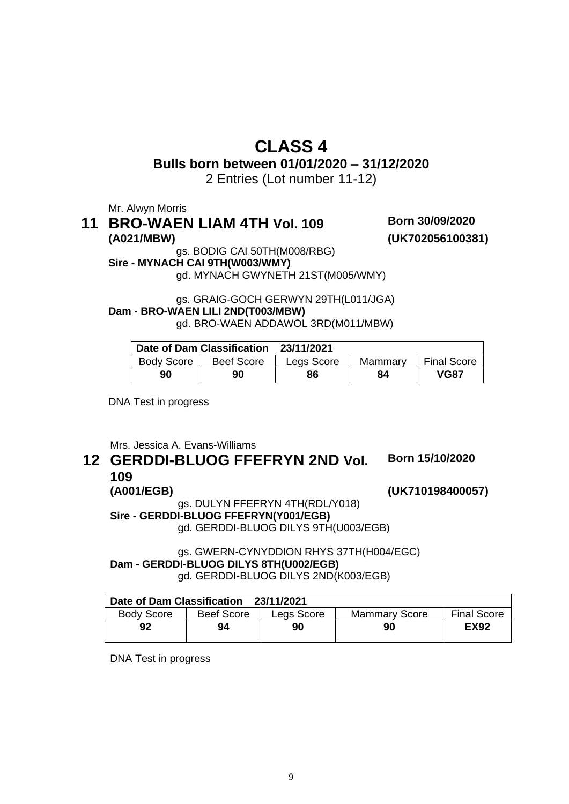# **CLASS 4**

**Bulls born between 01/01/2020 – 31/12/2020**

2 Entries (Lot number 11-12)

Mr. Alwyn Morris

### **11 BRO-WAEN LIAM 4TH Vol. 109 Born 30/09/2020 (A021/MBW) (UK702056100381)**

gs. BODIG CAI 50TH(M008/RBG)

**Sire - MYNACH CAI 9TH(W003/WMY)**

gd. MYNACH GWYNETH 21ST(M005/WMY)

gs. GRAIG-GOCH GERWYN 29TH(L011/JGA) **Dam - BRO-WAEN LILI 2ND(T003/MBW)** gd. BRO-WAEN ADDAWOL 3RD(M011/MBW)

|                   | Date of Dam Classification 23/11/2021 |            |    |                       |
|-------------------|---------------------------------------|------------|----|-----------------------|
| <b>Body Score</b> | <b>Beef Score</b>                     | Legs Score |    | Mammary   Final Score |
| 90                | 90                                    | 86         | 84 | <b>VG87</b>           |

DNA Test in progress

Mrs. Jessica A. Evans-Williams

### **12 GERDDI-BLUOG FFEFRYN 2ND Vol. 109**

**Born 15/10/2020**

**(A001/EGB) (UK710198400057)**

gs. DULYN FFEFRYN 4TH(RDL/Y018) **Sire - GERDDI-BLUOG FFEFRYN(Y001/EGB)** gd. GERDDI-BLUOG DILYS 9TH(U003/EGB)

gs. GWERN-CYNYDDION RHYS 37TH(H004/EGC) **Dam - GERDDI-BLUOG DILYS 8TH(U002/EGB)** gd. GERDDI-BLUOG DILYS 2ND(K003/EGB)

| 23/11/2021<br>Date of Dam Classification |                   |            |                      |                    |  |  |
|------------------------------------------|-------------------|------------|----------------------|--------------------|--|--|
| <b>Body Score</b>                        | <b>Beef Score</b> | Legs Score | <b>Mammary Score</b> | <b>Final Score</b> |  |  |
| 92                                       | 94                | 90         | 90                   | <b>EX92</b>        |  |  |

DNA Test in progress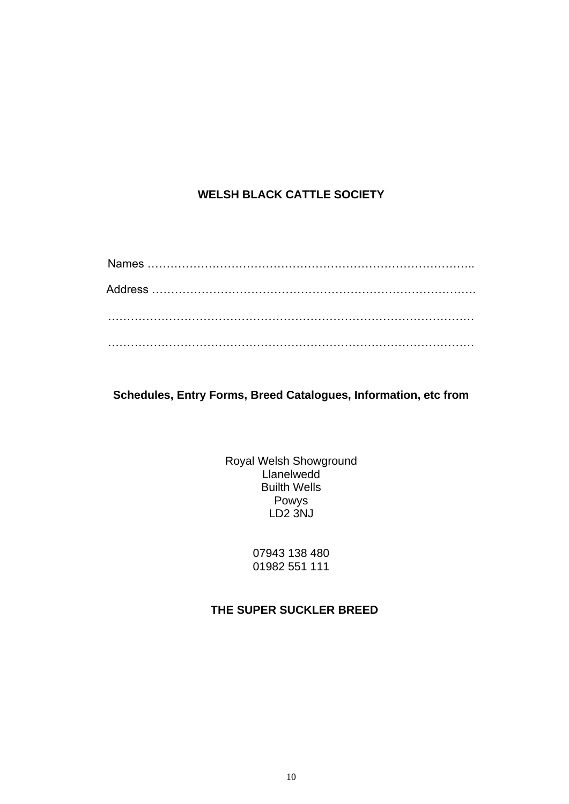### **WELSH BLACK CATTLE SOCIETY**

**Schedules, Entry Forms, Breed Catalogues, Information, etc from**

Royal Welsh Showground **Llanelwedd** Builth Wells Powys LD2 3NJ

> 07943 138 480 01982 551 111

### **THE SUPER SUCKLER BREED**